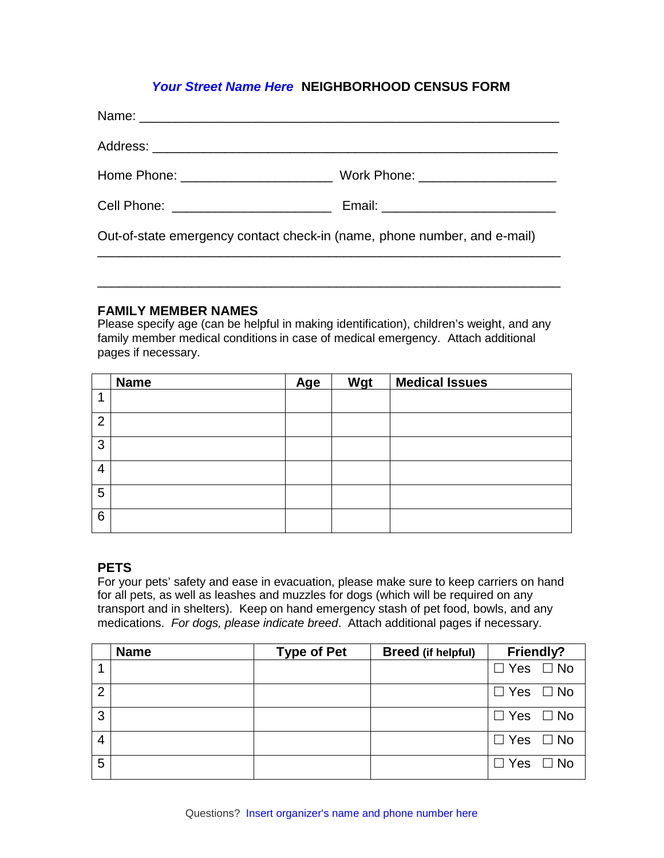# *Your Street Name Here* **NEIGHBORHOOD CENSUS FORM**

| Home Phone: _______________________                                      | Work Phone: _______________________        |  |
|--------------------------------------------------------------------------|--------------------------------------------|--|
| Cell Phone: ___________________________                                  | Email: ___________________________________ |  |
| Out-of-state emergency contact check-in (name, phone number, and e-mail) |                                            |  |

#### **FAMILY MEMBER NAMES**

Please specify age (can be helpful in making identification), children's weight, and any family member medical conditions in case of medical emergency. Attach additional pages if necessary.

\_\_\_\_\_\_\_\_\_\_\_\_\_\_\_\_\_\_\_\_\_\_\_\_\_\_\_\_\_\_\_\_\_\_\_\_\_\_\_\_\_\_\_\_\_\_\_\_\_\_\_\_\_\_\_\_\_\_\_\_\_\_\_\_

|                | <b>Name</b> | Age | Wgt | <b>Medical Issues</b> |
|----------------|-------------|-----|-----|-----------------------|
|                |             |     |     |                       |
| $\overline{2}$ |             |     |     |                       |
| 3              |             |     |     |                       |
| 4              |             |     |     |                       |
| 5              |             |     |     |                       |
| 6              |             |     |     |                       |

## **PETS**

For your pets' safety and ease in evacuation, please make sure to keep carriers on hand for all pets, as well as leashes and muzzles for dogs (which will be required on any transport and in shelters). Keep on hand emergency stash of pet food, bowls, and any medications. *For dogs, please indicate breed*. Attach additional pages if necessary.

|   | <b>Name</b> | <b>Type of Pet</b> | <b>Breed (if helpful)</b> | <b>Friendly?</b>     |
|---|-------------|--------------------|---------------------------|----------------------|
|   |             |                    |                           | $\Box$ Yes $\Box$ No |
| 2 |             |                    |                           | $\Box$ Yes $\Box$ No |
| 3 |             |                    |                           | $\Box$ Yes $\Box$ No |
| 4 |             |                    |                           | $\Box$ Yes $\Box$ No |
| 5 |             |                    |                           | $\Box$ Yes $\Box$ No |